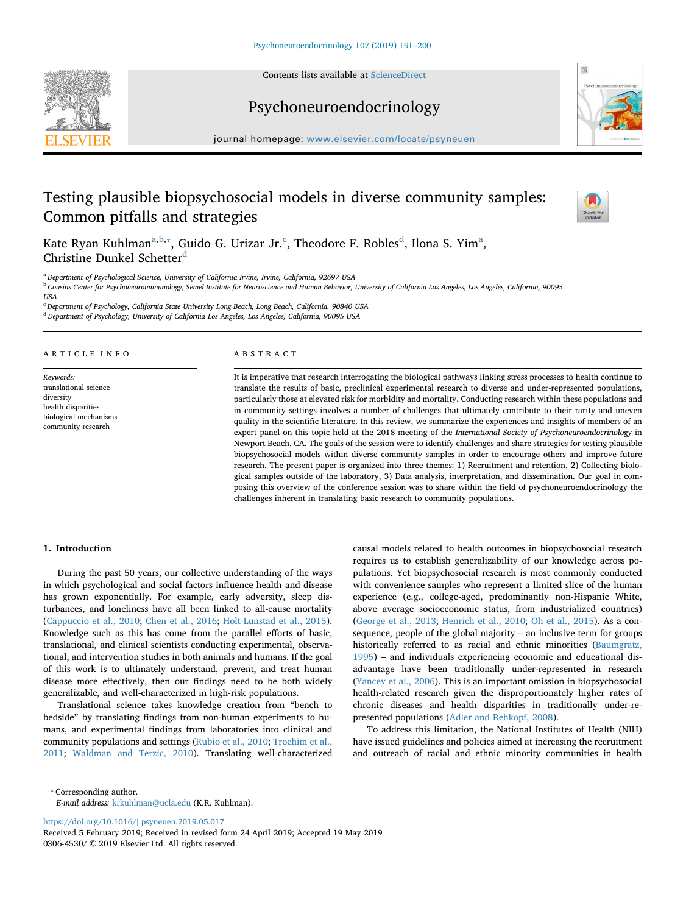Contents lists available at [ScienceDirect](http://www.sciencedirect.com/science/journal/03064530)





# Psychoneuroendocrinology

journal homepage: [www.elsevier.com/locate/psyneuen](https://www.elsevier.com/locate/psyneuen)

# Testing plausible biopsychosocial models in diverse community samples: Common pitfalls and strategies



K[a](#page-0-0)te Ryan Kuhlman $^{\rm a,b, *}$  $^{\rm a,b, *}$  $^{\rm a,b, *}$  $^{\rm a,b, *}$ , Gui[d](#page-0-4)o G. Urizar Jr. $^{\rm c}$ , Theodore F. Robles $^{\rm d}$ , Ilona S. Yim $^{\rm a}$ , Christine Dunkel Schetter<sup>[d](#page-0-4)</sup>

<span id="page-0-0"></span><sup>a</sup> *Department of Psychological Science, University of California Irvine, Irvine, California, 92697 USA*

<span id="page-0-1"></span><sup>b</sup> *Cousins Center for Psychoneuroimmunology, Semel Institute for Neuroscience and Human Behavior, University of California Los Angeles, Los Angeles, California, 90095 USA*

<span id="page-0-3"></span><sup>c</sup> *Department of Psychology, California State University Long Beach, Long Beach, California, 90840 USA*

<span id="page-0-4"></span><sup>d</sup> *Department of Psychology, University of California Los Angeles, Los Angeles, California, 90095 USA*

#### ARTICLE INFO

*Keywords:* translational science diversity health disparities biological mechanisms community research

## ABSTRACT

It is imperative that research interrogating the biological pathways linking stress processes to health continue to translate the results of basic, preclinical experimental research to diverse and under-represented populations, particularly those at elevated risk for morbidity and mortality. Conducting research within these populations and in community settings involves a number of challenges that ultimately contribute to their rarity and uneven quality in the scientific literature. In this review, we summarize the experiences and insights of members of an expert panel on this topic held at the 2018 meeting of the *International Society of Psychoneuroendocrinology* in Newport Beach, CA. The goals of the session were to identify challenges and share strategies for testing plausible biopsychosocial models within diverse community samples in order to encourage others and improve future research. The present paper is organized into three themes: 1) Recruitment and retention, 2) Collecting biological samples outside of the laboratory, 3) Data analysis, interpretation, and dissemination. Our goal in composing this overview of the conference session was to share within the field of psychoneuroendocrinology the challenges inherent in translating basic research to community populations.

## **1. Introduction**

During the past 50 years, our collective understanding of the ways in which psychological and social factors influence health and disease has grown exponentially. For example, early adversity, sleep disturbances, and loneliness have all been linked to all-cause mortality ([Cappuccio et al., 2010](#page-8-0); [Chen et al., 2016;](#page-8-1) [Holt-Lunstad et al., 2015](#page-8-2)). Knowledge such as this has come from the parallel efforts of basic, translational, and clinical scientists conducting experimental, observational, and intervention studies in both animals and humans. If the goal of this work is to ultimately understand, prevent, and treat human disease more effectively, then our findings need to be both widely generalizable, and well-characterized in high-risk populations.

Translational science takes knowledge creation from "bench to bedside" by translating findings from non-human experiments to humans, and experimental findings from laboratories into clinical and community populations and settings [\(Rubio et al., 2010;](#page-9-0) [Trochim et al.,](#page-9-1) [2011;](#page-9-1) [Waldman and Terzic, 2010\)](#page-9-2). Translating well-characterized causal models related to health outcomes in biopsychosocial research requires us to establish generalizability of our knowledge across populations. Yet biopsychosocial research is most commonly conducted with convenience samples who represent a limited slice of the human experience (e.g., college-aged, predominantly non-Hispanic White, above average socioeconomic status, from industrialized countries) ([George et al., 2013;](#page-8-3) [Henrich et al., 2010](#page-8-4); [Oh et al., 2015\)](#page-9-3). As a consequence, people of the global majority – an inclusive term for groups historically referred to as racial and ethnic minorities [\(Baumgratz,](#page-8-5) [1995\)](#page-8-5) – and individuals experiencing economic and educational disadvantage have been traditionally under-represented in research ([Yancey et al., 2006\)](#page-9-4). This is an important omission in biopsychosocial health-related research given the disproportionately higher rates of chronic diseases and health disparities in traditionally under-represented populations [\(Adler and Rehkopf, 2008](#page-8-6)).

To address this limitation, the National Institutes of Health (NIH) have issued guidelines and policies aimed at increasing the recruitment and outreach of racial and ethnic minority communities in health

<span id="page-0-2"></span>⁎ Corresponding author.

*E-mail address:* [krkuhlman@ucla.edu](mailto:krkuhlman@ucla.edu) (K.R. Kuhlman).

<https://doi.org/10.1016/j.psyneuen.2019.05.017>

Received 5 February 2019; Received in revised form 24 April 2019; Accepted 19 May 2019 0306-4530/ © 2019 Elsevier Ltd. All rights reserved.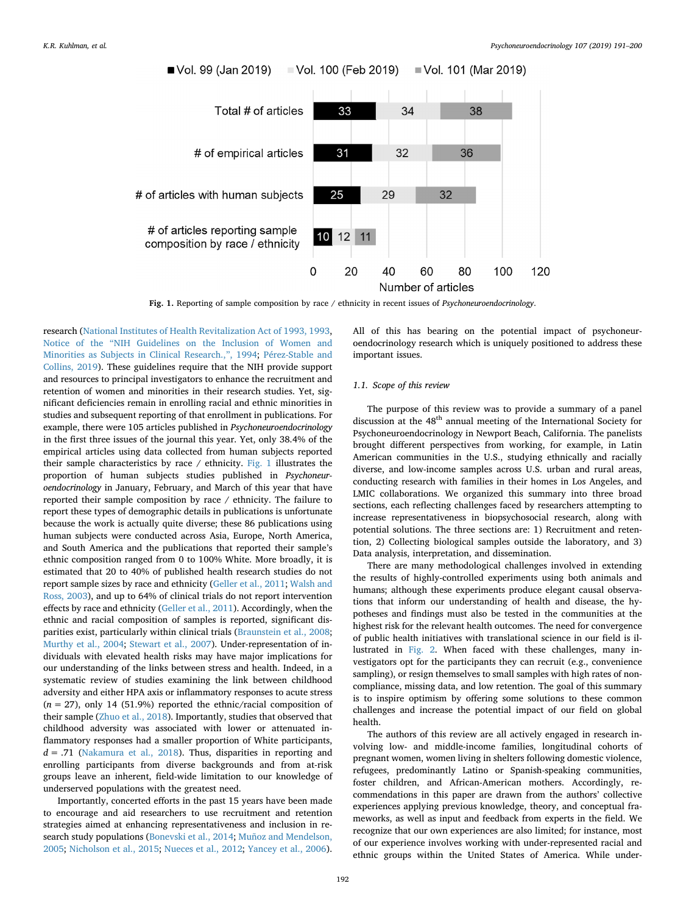<span id="page-1-0"></span>

**Fig. 1.** Reporting of sample composition by race / ethnicity in recent issues of *Psychoneuroendocrinology*.

research [\(National Institutes of Health Revitalization Act of 1993, 1993](#page-9-5), [Notice of the "NIH Guidelines on the Inclusion of Women and](#page-9-6) [Minorities as Subjects in Clinical Research.,", 1994](#page-9-6); [Pérez-Stable and](#page-9-7) [Collins, 2019\)](#page-9-7). These guidelines require that the NIH provide support and resources to principal investigators to enhance the recruitment and retention of women and minorities in their research studies. Yet, significant deficiencies remain in enrolling racial and ethnic minorities in studies and subsequent reporting of that enrollment in publications. For example, there were 105 articles published in *Psychoneuroendocrinology* in the first three issues of the journal this year. Yet, only 38.4% of the empirical articles using data collected from human subjects reported their sample characteristics by race / ethnicity. [Fig. 1](#page-1-0) illustrates the proportion of human subjects studies published in *Psychoneuroendocrinology* in January, February, and March of this year that have reported their sample composition by race / ethnicity. The failure to report these types of demographic details in publications is unfortunate because the work is actually quite diverse; these 86 publications using human subjects were conducted across Asia, Europe, North America, and South America and the publications that reported their sample's ethnic composition ranged from 0 to 100% White. More broadly, it is estimated that 20 to 40% of published health research studies do not report sample sizes by race and ethnicity [\(Geller et al., 2011;](#page-8-7) [Walsh and](#page-9-8) [Ross, 2003](#page-9-8)), and up to 64% of clinical trials do not report intervention effects by race and ethnicity [\(Geller et al., 2011\)](#page-8-7). Accordingly, when the ethnic and racial composition of samples is reported, significant disparities exist, particularly within clinical trials [\(Braunstein et al., 2008](#page-8-8); [Murthy et al., 2004;](#page-9-9) [Stewart et al., 2007](#page-9-10)). Under-representation of individuals with elevated health risks may have major implications for our understanding of the links between stress and health. Indeed, in a systematic review of studies examining the link between childhood adversity and either HPA axis or inflammatory responses to acute stress  $(n = 27)$ , only 14 (51.9%) reported the ethnic/racial composition of their sample ([Zhuo et al., 2018](#page-9-11)). Importantly, studies that observed that childhood adversity was associated with lower or attenuated inflammatory responses had a smaller proportion of White participants,  $d = .71$  [\(Nakamura et al., 2018](#page-9-12)). Thus, disparities in reporting and enrolling participants from diverse backgrounds and from at-risk groups leave an inherent, field-wide limitation to our knowledge of underserved populations with the greatest need.

Importantly, concerted efforts in the past 15 years have been made to encourage and aid researchers to use recruitment and retention strategies aimed at enhancing representativeness and inclusion in research study populations ([Bonevski et al., 2014;](#page-8-9) [Muñoz and Mendelson,](#page-9-13) [2005;](#page-9-13) [Nicholson et al., 2015](#page-9-14); [Nueces et al., 2012;](#page-9-15) [Yancey et al., 2006](#page-9-4)).

All of this has bearing on the potential impact of psychoneuroendocrinology research which is uniquely positioned to address these important issues.

## *1.1. Scope of this review*

The purpose of this review was to provide a summary of a panel discussion at the 48<sup>th</sup> annual meeting of the International Society for Psychoneuroendocrinology in Newport Beach, California. The panelists brought different perspectives from working, for example, in Latin American communities in the U.S., studying ethnically and racially diverse, and low-income samples across U.S. urban and rural areas, conducting research with families in their homes in Los Angeles, and LMIC collaborations. We organized this summary into three broad sections, each reflecting challenges faced by researchers attempting to increase representativeness in biopsychosocial research, along with potential solutions. The three sections are: 1) Recruitment and retention, 2) Collecting biological samples outside the laboratory, and 3) Data analysis, interpretation, and dissemination.

There are many methodological challenges involved in extending the results of highly-controlled experiments using both animals and humans; although these experiments produce elegant causal observations that inform our understanding of health and disease, the hypotheses and findings must also be tested in the communities at the highest risk for the relevant health outcomes. The need for convergence of public health initiatives with translational science in our field is illustrated in [Fig. 2.](#page-2-0) When faced with these challenges, many investigators opt for the participants they can recruit (e.g., convenience sampling), or resign themselves to small samples with high rates of noncompliance, missing data, and low retention. The goal of this summary is to inspire optimism by offering some solutions to these common challenges and increase the potential impact of our field on global health.

The authors of this review are all actively engaged in research involving low- and middle-income families, longitudinal cohorts of pregnant women, women living in shelters following domestic violence, refugees, predominantly Latino or Spanish-speaking communities, foster children, and African-American mothers. Accordingly, recommendations in this paper are drawn from the authors' collective experiences applying previous knowledge, theory, and conceptual frameworks, as well as input and feedback from experts in the field. We recognize that our own experiences are also limited; for instance, most of our experience involves working with under-represented racial and ethnic groups within the United States of America. While under-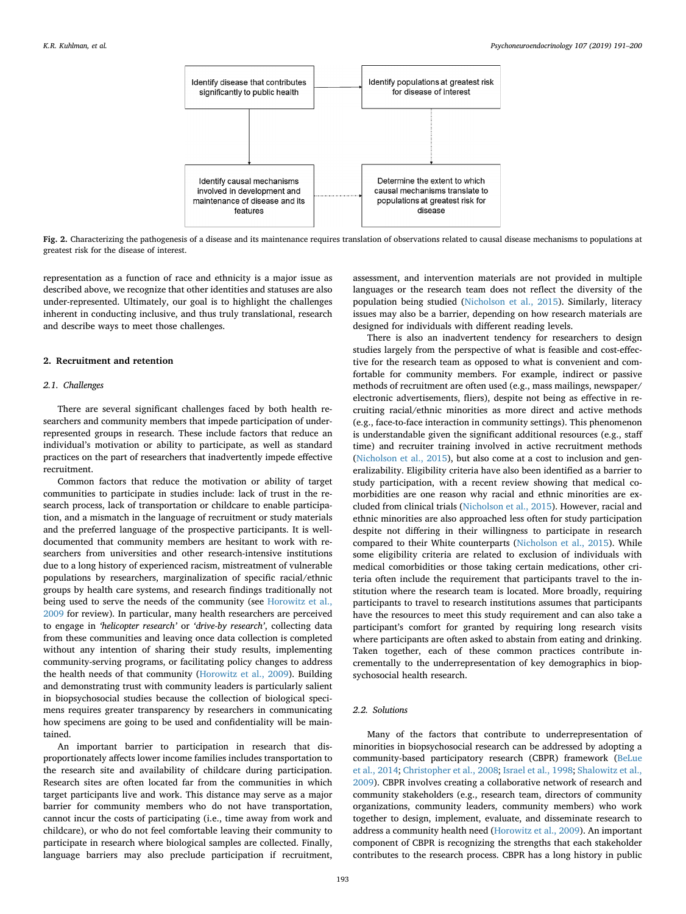<span id="page-2-0"></span>

**Fig. 2.** Characterizing the pathogenesis of a disease and its maintenance requires translation of observations related to causal disease mechanisms to populations at greatest risk for the disease of interest.

representation as a function of race and ethnicity is a major issue as described above, we recognize that other identities and statuses are also under-represented. Ultimately, our goal is to highlight the challenges inherent in conducting inclusive, and thus truly translational, research and describe ways to meet those challenges.

#### <span id="page-2-1"></span>**2. Recruitment and retention**

#### *2.1. Challenges*

There are several significant challenges faced by both health researchers and community members that impede participation of underrepresented groups in research. These include factors that reduce an individual's motivation or ability to participate, as well as standard practices on the part of researchers that inadvertently impede effective recruitment.

Common factors that reduce the motivation or ability of target communities to participate in studies include: lack of trust in the research process, lack of transportation or childcare to enable participation, and a mismatch in the language of recruitment or study materials and the preferred language of the prospective participants. It is welldocumented that community members are hesitant to work with researchers from universities and other research-intensive institutions due to a long history of experienced racism, mistreatment of vulnerable populations by researchers, marginalization of specific racial/ethnic groups by health care systems, and research findings traditionally not being used to serve the needs of the community (see [Horowitz et al.,](#page-8-10) [2009](#page-8-10) for review). In particular, many health researchers are perceived to engage in *'helicopter research'* or *'drive-by research'*, collecting data from these communities and leaving once data collection is completed without any intention of sharing their study results, implementing community-serving programs, or facilitating policy changes to address the health needs of that community [\(Horowitz et al., 2009\)](#page-8-10). Building and demonstrating trust with community leaders is particularly salient in biopsychosocial studies because the collection of biological specimens requires greater transparency by researchers in communicating how specimens are going to be used and confidentiality will be maintained.

An important barrier to participation in research that disproportionately affects lower income families includes transportation to the research site and availability of childcare during participation. Research sites are often located far from the communities in which target participants live and work. This distance may serve as a major barrier for community members who do not have transportation, cannot incur the costs of participating (i.e., time away from work and childcare), or who do not feel comfortable leaving their community to participate in research where biological samples are collected. Finally, language barriers may also preclude participation if recruitment,

assessment, and intervention materials are not provided in multiple languages or the research team does not reflect the diversity of the population being studied ([Nicholson et al., 2015\)](#page-9-14). Similarly, literacy issues may also be a barrier, depending on how research materials are designed for individuals with different reading levels.

There is also an inadvertent tendency for researchers to design studies largely from the perspective of what is feasible and cost-effective for the research team as opposed to what is convenient and comfortable for community members. For example, indirect or passive methods of recruitment are often used (e.g., mass mailings, newspaper/ electronic advertisements, fliers), despite not being as effective in recruiting racial/ethnic minorities as more direct and active methods (e.g., face-to-face interaction in community settings). This phenomenon is understandable given the significant additional resources (e.g., staff time) and recruiter training involved in active recruitment methods ([Nicholson et al., 2015\)](#page-9-14), but also come at a cost to inclusion and generalizability. Eligibility criteria have also been identified as a barrier to study participation, with a recent review showing that medical comorbidities are one reason why racial and ethnic minorities are excluded from clinical trials [\(Nicholson et al., 2015](#page-9-14)). However, racial and ethnic minorities are also approached less often for study participation despite not differing in their willingness to participate in research compared to their White counterparts ([Nicholson et al., 2015\)](#page-9-14). While some eligibility criteria are related to exclusion of individuals with medical comorbidities or those taking certain medications, other criteria often include the requirement that participants travel to the institution where the research team is located. More broadly, requiring participants to travel to research institutions assumes that participants have the resources to meet this study requirement and can also take a participant's comfort for granted by requiring long research visits where participants are often asked to abstain from eating and drinking. Taken together, each of these common practices contribute incrementally to the underrepresentation of key demographics in biopsychosocial health research.

### *2.2. Solutions*

Many of the factors that contribute to underrepresentation of minorities in biopsychosocial research can be addressed by adopting a community-based participatory research (CBPR) framework [\(BeLue](#page-8-11) [et al., 2014;](#page-8-11) [Christopher et al., 2008;](#page-8-12) [Israel et al., 1998;](#page-8-13) [Shalowitz et al.,](#page-9-16) [2009\)](#page-9-16). CBPR involves creating a collaborative network of research and community stakeholders (e.g., research team, directors of community organizations, community leaders, community members) who work together to design, implement, evaluate, and disseminate research to address a community health need [\(Horowitz et al., 2009](#page-8-10)). An important component of CBPR is recognizing the strengths that each stakeholder contributes to the research process. CBPR has a long history in public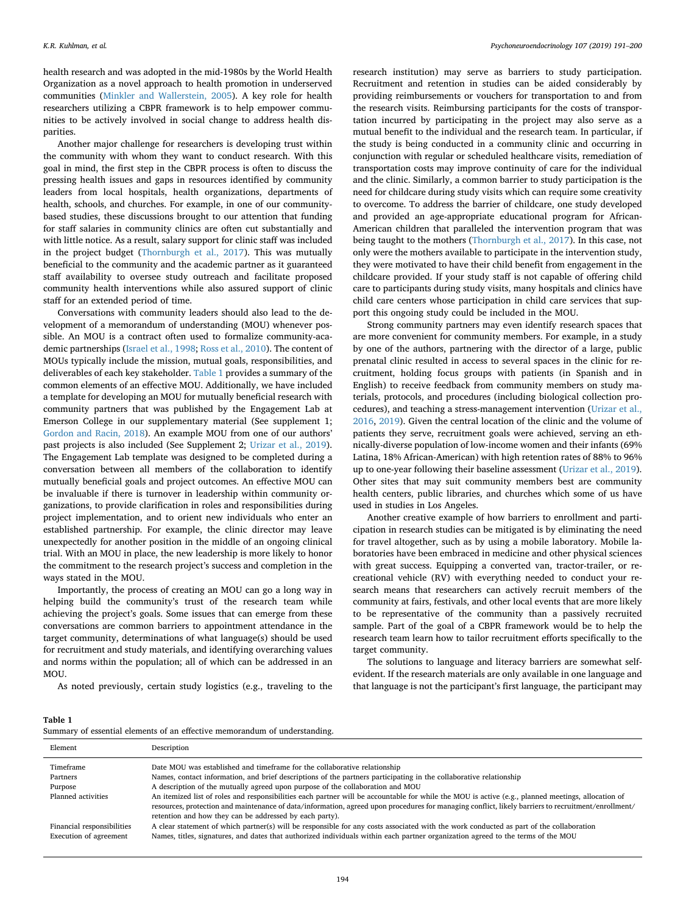health research and was adopted in the mid-1980s by the World Health Organization as a novel approach to health promotion in underserved communities ([Minkler and Wallerstein, 2005](#page-9-17)). A key role for health researchers utilizing a CBPR framework is to help empower communities to be actively involved in social change to address health disparities.

Another major challenge for researchers is developing trust within the community with whom they want to conduct research. With this goal in mind, the first step in the CBPR process is often to discuss the pressing health issues and gaps in resources identified by community leaders from local hospitals, health organizations, departments of health, schools, and churches. For example, in one of our communitybased studies, these discussions brought to our attention that funding for staff salaries in community clinics are often cut substantially and with little notice. As a result, salary support for clinic staff was included in the project budget ([Thornburgh et al., 2017\)](#page-9-18). This was mutually beneficial to the community and the academic partner as it guaranteed staff availability to oversee study outreach and facilitate proposed community health interventions while also assured support of clinic staff for an extended period of time.

Conversations with community leaders should also lead to the development of a memorandum of understanding (MOU) whenever possible. An MOU is a contract often used to formalize community-academic partnerships [\(Israel et al., 1998;](#page-8-13) [Ross et al., 2010](#page-9-19)). The content of MOUs typically include the mission, mutual goals, responsibilities, and deliverables of each key stakeholder. [Table 1](#page-3-0) provides a summary of the common elements of an effective MOU. Additionally, we have included a template for developing an MOU for mutually beneficial research with community partners that was published by the Engagement Lab at Emerson College in our supplementary material (See supplement 1; [Gordon and Racin, 2018\)](#page-8-14). An example MOU from one of our authors' past projects is also included (See Supplement 2; [Urizar et al., 2019](#page-9-20)). The Engagement Lab template was designed to be completed during a conversation between all members of the collaboration to identify mutually beneficial goals and project outcomes. An effective MOU can be invaluable if there is turnover in leadership within community organizations, to provide clarification in roles and responsibilities during project implementation, and to orient new individuals who enter an established partnership. For example, the clinic director may leave unexpectedly for another position in the middle of an ongoing clinical trial. With an MOU in place, the new leadership is more likely to honor the commitment to the research project's success and completion in the ways stated in the MOU.

Importantly, the process of creating an MOU can go a long way in helping build the community's trust of the research team while achieving the project's goals. Some issues that can emerge from these conversations are common barriers to appointment attendance in the target community, determinations of what language(s) should be used for recruitment and study materials, and identifying overarching values and norms within the population; all of which can be addressed in an MOU.

As noted previously, certain study logistics (e.g., traveling to the

research institution) may serve as barriers to study participation. Recruitment and retention in studies can be aided considerably by providing reimbursements or vouchers for transportation to and from the research visits. Reimbursing participants for the costs of transportation incurred by participating in the project may also serve as a mutual benefit to the individual and the research team. In particular, if the study is being conducted in a community clinic and occurring in conjunction with regular or scheduled healthcare visits, remediation of transportation costs may improve continuity of care for the individual and the clinic. Similarly, a common barrier to study participation is the need for childcare during study visits which can require some creativity to overcome. To address the barrier of childcare, one study developed and provided an age-appropriate educational program for African-American children that paralleled the intervention program that was being taught to the mothers [\(Thornburgh et al., 2017\)](#page-9-18). In this case, not only were the mothers available to participate in the intervention study, they were motivated to have their child benefit from engagement in the childcare provided. If your study staff is not capable of offering child care to participants during study visits, many hospitals and clinics have child care centers whose participation in child care services that support this ongoing study could be included in the MOU.

Strong community partners may even identify research spaces that are more convenient for community members. For example, in a study by one of the authors, partnering with the director of a large, public prenatal clinic resulted in access to several spaces in the clinic for recruitment, holding focus groups with patients (in Spanish and in English) to receive feedback from community members on study materials, protocols, and procedures (including biological collection procedures), and teaching a stress-management intervention [\(Urizar et al.,](#page-9-21) [2016,](#page-9-21) [2019](#page-9-20)). Given the central location of the clinic and the volume of patients they serve, recruitment goals were achieved, serving an ethnically-diverse population of low-income women and their infants (69% Latina, 18% African-American) with high retention rates of 88% to 96% up to one-year following their baseline assessment ([Urizar et al., 2019](#page-9-20)). Other sites that may suit community members best are community health centers, public libraries, and churches which some of us have used in studies in Los Angeles.

Another creative example of how barriers to enrollment and participation in research studies can be mitigated is by eliminating the need for travel altogether, such as by using a mobile laboratory. Mobile laboratories have been embraced in medicine and other physical sciences with great success. Equipping a converted van, tractor-trailer, or recreational vehicle (RV) with everything needed to conduct your research means that researchers can actively recruit members of the community at fairs, festivals, and other local events that are more likely to be representative of the community than a passively recruited sample. Part of the goal of a CBPR framework would be to help the research team learn how to tailor recruitment efforts specifically to the target community.

The solutions to language and literacy barriers are somewhat selfevident. If the research materials are only available in one language and that language is not the participant's first language, the participant may

<span id="page-3-0"></span>

| Table |  |  |
|-------|--|--|
|-------|--|--|

| Element                    | Description                                                                                                                                         |
|----------------------------|-----------------------------------------------------------------------------------------------------------------------------------------------------|
| Timeframe                  | Date MOU was established and timeframe for the collaborative relationship                                                                           |
| Partners                   | Names, contact information, and brief descriptions of the partners participating in the collaborative relationship                                  |
| Purpose                    | A description of the mutually agreed upon purpose of the collaboration and MOU                                                                      |
| Planned activities         | An itemized list of roles and responsibilities each partner will be accountable for while the MOU is active (e.g., planned meetings, allocation of  |
|                            | resources, protection and maintenance of data/information, agreed upon procedures for managing conflict, likely barriers to recruitment/enrollment/ |
|                            | retention and how they can be addressed by each party).                                                                                             |
| Financial responsibilities | A clear statement of which partner(s) will be responsible for any costs associated with the work conducted as part of the collaboration             |
| Execution of agreement     | Names, titles, signatures, and dates that authorized individuals within each partner organization agreed to the terms of the MOU                    |
|                            |                                                                                                                                                     |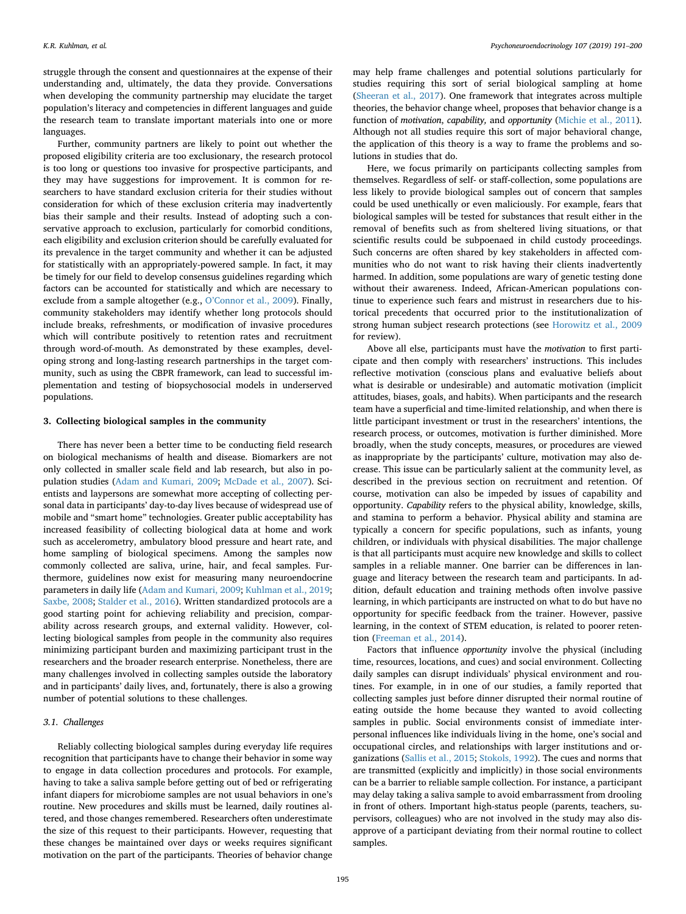struggle through the consent and questionnaires at the expense of their understanding and, ultimately, the data they provide. Conversations when developing the community partnership may elucidate the target population's literacy and competencies in different languages and guide the research team to translate important materials into one or more languages.

Further, community partners are likely to point out whether the proposed eligibility criteria are too exclusionary, the research protocol is too long or questions too invasive for prospective participants, and they may have suggestions for improvement. It is common for researchers to have standard exclusion criteria for their studies without consideration for which of these exclusion criteria may inadvertently bias their sample and their results. Instead of adopting such a conservative approach to exclusion, particularly for comorbid conditions, each eligibility and exclusion criterion should be carefully evaluated for its prevalence in the target community and whether it can be adjusted for statistically with an appropriately-powered sample. In fact, it may be timely for our field to develop consensus guidelines regarding which factors can be accounted for statistically and which are necessary to exclude from a sample altogether (e.g., [O'Connor et al., 2009\)](#page-9-22). Finally, community stakeholders may identify whether long protocols should include breaks, refreshments, or modification of invasive procedures which will contribute positively to retention rates and recruitment through word-of-mouth. As demonstrated by these examples, developing strong and long-lasting research partnerships in the target community, such as using the CBPR framework, can lead to successful implementation and testing of biopsychosocial models in underserved populations.

## <span id="page-4-1"></span>**3. Collecting biological samples in the community**

There has never been a better time to be conducting field research on biological mechanisms of health and disease. Biomarkers are not only collected in smaller scale field and lab research, but also in population studies [\(Adam and Kumari, 2009](#page-8-15); [McDade et al., 2007\)](#page-9-23). Scientists and laypersons are somewhat more accepting of collecting personal data in participants' day-to-day lives because of widespread use of mobile and "smart home" technologies. Greater public acceptability has increased feasibility of collecting biological data at home and work such as accelerometry, ambulatory blood pressure and heart rate, and home sampling of biological specimens. Among the samples now commonly collected are saliva, urine, hair, and fecal samples. Furthermore, guidelines now exist for measuring many neuroendocrine parameters in daily life [\(Adam and Kumari, 2009](#page-8-15); [Kuhlman et al., 2019](#page-9-24); [Saxbe, 2008;](#page-9-25) [Stalder et al., 2016](#page-9-26)). Written standardized protocols are a good starting point for achieving reliability and precision, comparability across research groups, and external validity. However, collecting biological samples from people in the community also requires minimizing participant burden and maximizing participant trust in the researchers and the broader research enterprise. Nonetheless, there are many challenges involved in collecting samples outside the laboratory and in participants' daily lives, and, fortunately, there is also a growing number of potential solutions to these challenges.

## <span id="page-4-0"></span>*3.1. Challenges*

Reliably collecting biological samples during everyday life requires recognition that participants have to change their behavior in some way to engage in data collection procedures and protocols. For example, having to take a saliva sample before getting out of bed or refrigerating infant diapers for microbiome samples are not usual behaviors in one's routine. New procedures and skills must be learned, daily routines altered, and those changes remembered. Researchers often underestimate the size of this request to their participants. However, requesting that these changes be maintained over days or weeks requires significant motivation on the part of the participants. Theories of behavior change

may help frame challenges and potential solutions particularly for studies requiring this sort of serial biological sampling at home ([Sheeran et al., 2017](#page-9-27)). One framework that integrates across multiple theories, the behavior change wheel, proposes that behavior change is a function of *motivation*, *capability,* and *opportunity* [\(Michie et al., 2011](#page-9-28)). Although not all studies require this sort of major behavioral change, the application of this theory is a way to frame the problems and solutions in studies that do.

Here, we focus primarily on participants collecting samples from themselves. Regardless of self- or staff-collection, some populations are less likely to provide biological samples out of concern that samples could be used unethically or even maliciously. For example, fears that biological samples will be tested for substances that result either in the removal of benefits such as from sheltered living situations, or that scientific results could be subpoenaed in child custody proceedings. Such concerns are often shared by key stakeholders in affected communities who do not want to risk having their clients inadvertently harmed. In addition, some populations are wary of genetic testing done without their awareness. Indeed, African-American populations continue to experience such fears and mistrust in researchers due to historical precedents that occurred prior to the institutionalization of strong human subject research protections (see [Horowitz et al., 2009](#page-8-10) for review).

Above all else, participants must have the *motivation* to first participate and then comply with researchers' instructions. This includes reflective motivation (conscious plans and evaluative beliefs about what is desirable or undesirable) and automatic motivation (implicit attitudes, biases, goals, and habits). When participants and the research team have a superficial and time-limited relationship, and when there is little participant investment or trust in the researchers' intentions, the research process, or outcomes, motivation is further diminished. More broadly, when the study concepts, measures, or procedures are viewed as inappropriate by the participants' culture, motivation may also decrease. This issue can be particularly salient at the community level, as described in the previous section on recruitment and retention. Of course, motivation can also be impeded by issues of capability and opportunity. *Capability* refers to the physical ability, knowledge, skills, and stamina to perform a behavior. Physical ability and stamina are typically a concern for specific populations, such as infants, young children, or individuals with physical disabilities. The major challenge is that all participants must acquire new knowledge and skills to collect samples in a reliable manner. One barrier can be differences in language and literacy between the research team and participants. In addition, default education and training methods often involve passive learning, in which participants are instructed on what to do but have no opportunity for specific feedback from the trainer. However, passive learning, in the context of STEM education, is related to poorer retention [\(Freeman et al., 2014](#page-8-16)).

Factors that influence *opportunity* involve the physical (including time, resources, locations, and cues) and social environment. Collecting daily samples can disrupt individuals' physical environment and routines. For example, in in one of our studies, a family reported that collecting samples just before dinner disrupted their normal routine of eating outside the home because they wanted to avoid collecting samples in public. Social environments consist of immediate interpersonal influences like individuals living in the home, one's social and occupational circles, and relationships with larger institutions and organizations ([Sallis et al., 2015](#page-9-29); [Stokols, 1992](#page-9-30)). The cues and norms that are transmitted (explicitly and implicitly) in those social environments can be a barrier to reliable sample collection. For instance, a participant may delay taking a saliva sample to avoid embarrassment from drooling in front of others. Important high-status people (parents, teachers, supervisors, colleagues) who are not involved in the study may also disapprove of a participant deviating from their normal routine to collect samples.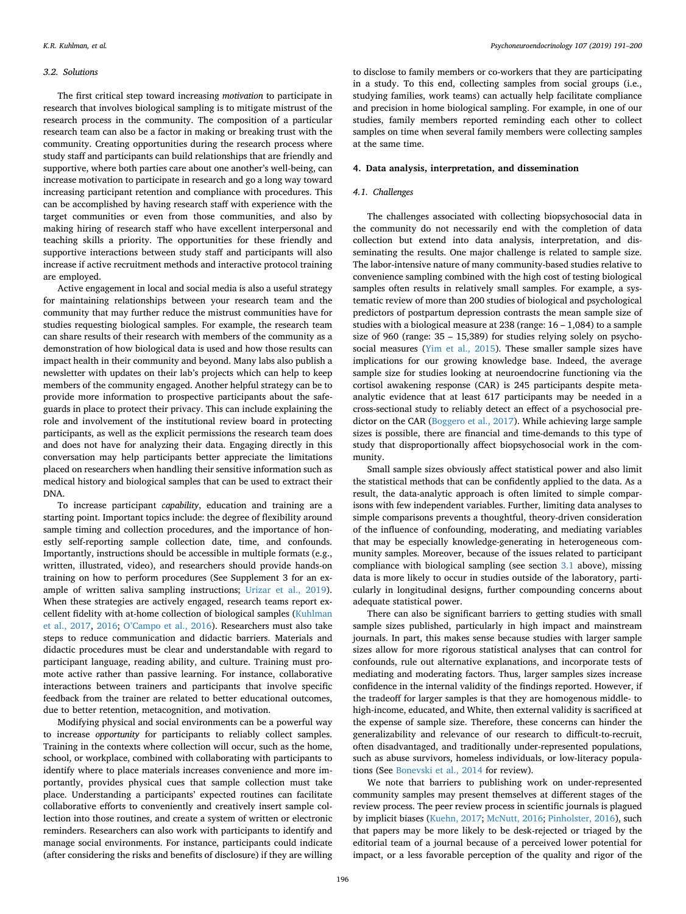#### *3.2. Solutions*

The first critical step toward increasing *motivation* to participate in research that involves biological sampling is to mitigate mistrust of the research process in the community. The composition of a particular research team can also be a factor in making or breaking trust with the community. Creating opportunities during the research process where study staff and participants can build relationships that are friendly and supportive, where both parties care about one another's well-being, can increase motivation to participate in research and go a long way toward increasing participant retention and compliance with procedures. This can be accomplished by having research staff with experience with the target communities or even from those communities, and also by making hiring of research staff who have excellent interpersonal and teaching skills a priority. The opportunities for these friendly and supportive interactions between study staff and participants will also increase if active recruitment methods and interactive protocol training are employed.

Active engagement in local and social media is also a useful strategy for maintaining relationships between your research team and the community that may further reduce the mistrust communities have for studies requesting biological samples. For example, the research team can share results of their research with members of the community as a demonstration of how biological data is used and how those results can impact health in their community and beyond. Many labs also publish a newsletter with updates on their lab's projects which can help to keep members of the community engaged. Another helpful strategy can be to provide more information to prospective participants about the safeguards in place to protect their privacy. This can include explaining the role and involvement of the institutional review board in protecting participants, as well as the explicit permissions the research team does and does not have for analyzing their data. Engaging directly in this conversation may help participants better appreciate the limitations placed on researchers when handling their sensitive information such as medical history and biological samples that can be used to extract their DNA.

To increase participant *capability*, education and training are a starting point. Important topics include: the degree of flexibility around sample timing and collection procedures, and the importance of honestly self-reporting sample collection date, time, and confounds. Importantly, instructions should be accessible in multiple formats (e.g., written, illustrated, video), and researchers should provide hands-on training on how to perform procedures (See Supplement 3 for an example of written saliva sampling instructions; [Urizar et al., 2019](#page-9-20)). When these strategies are actively engaged, research teams report excellent fidelity with at-home collection of biological samples ([Kuhlman](#page-8-17) [et al., 2017,](#page-8-17) [2016](#page-9-31); [O'Campo et al., 2016\)](#page-9-32). Researchers must also take steps to reduce communication and didactic barriers. Materials and didactic procedures must be clear and understandable with regard to participant language, reading ability, and culture. Training must promote active rather than passive learning. For instance, collaborative interactions between trainers and participants that involve specific feedback from the trainer are related to better educational outcomes, due to better retention, metacognition, and motivation.

Modifying physical and social environments can be a powerful way to increase *opportunity* for participants to reliably collect samples. Training in the contexts where collection will occur, such as the home, school, or workplace, combined with collaborating with participants to identify where to place materials increases convenience and more importantly, provides physical cues that sample collection must take place. Understanding a participants' expected routines can facilitate collaborative efforts to conveniently and creatively insert sample collection into those routines, and create a system of written or electronic reminders. Researchers can also work with participants to identify and manage social environments. For instance, participants could indicate (after considering the risks and benefits of disclosure) if they are willing

to disclose to family members or co-workers that they are participating in a study. To this end, collecting samples from social groups (i.e., studying families, work teams) can actually help facilitate compliance and precision in home biological sampling. For example, in one of our studies, family members reported reminding each other to collect samples on time when several family members were collecting samples at the same time.

### **4. Data analysis, interpretation, and dissemination**

#### *4.1. Challenges*

The challenges associated with collecting biopsychosocial data in the community do not necessarily end with the completion of data collection but extend into data analysis, interpretation, and disseminating the results. One major challenge is related to sample size. The labor-intensive nature of many community-based studies relative to convenience sampling combined with the high cost of testing biological samples often results in relatively small samples. For example, a systematic review of more than 200 studies of biological and psychological predictors of postpartum depression contrasts the mean sample size of studies with a biological measure at 238 (range: 16 – 1,084) to a sample size of 960 (range: 35 – 15,389) for studies relying solely on psychosocial measures ([Yim et al., 2015](#page-9-33)). These smaller sample sizes have implications for our growing knowledge base. Indeed, the average sample size for studies looking at neuroendocrine functioning via the cortisol awakening response (CAR) is 245 participants despite metaanalytic evidence that at least 617 participants may be needed in a cross-sectional study to reliably detect an effect of a psychosocial predictor on the CAR [\(Boggero et al., 2017](#page-8-18)). While achieving large sample sizes is possible, there are financial and time-demands to this type of study that disproportionally affect biopsychosocial work in the community.

Small sample sizes obviously affect statistical power and also limit the statistical methods that can be confidently applied to the data. As a result, the data-analytic approach is often limited to simple comparisons with few independent variables. Further, limiting data analyses to simple comparisons prevents a thoughtful, theory-driven consideration of the influence of confounding, moderating, and mediating variables that may be especially knowledge-generating in heterogeneous community samples. Moreover, because of the issues related to participant compliance with biological sampling (see section [3.1](#page-4-0) above), missing data is more likely to occur in studies outside of the laboratory, particularly in longitudinal designs, further compounding concerns about adequate statistical power.

There can also be significant barriers to getting studies with small sample sizes published, particularly in high impact and mainstream journals. In part, this makes sense because studies with larger sample sizes allow for more rigorous statistical analyses that can control for confounds, rule out alternative explanations, and incorporate tests of mediating and moderating factors. Thus, larger samples sizes increase confidence in the internal validity of the findings reported. However, if the tradeoff for larger samples is that they are homogenous middle- to high-income, educated, and White, then external validity is sacrificed at the expense of sample size. Therefore, these concerns can hinder the generalizability and relevance of our research to difficult-to-recruit, often disadvantaged, and traditionally under-represented populations, such as abuse survivors, homeless individuals, or low-literacy populations (See [Bonevski et al., 2014](#page-8-9) for review).

We note that barriers to publishing work on under-represented community samples may present themselves at different stages of the review process. The peer review process in scientific journals is plagued by implicit biases [\(Kuehn, 2017](#page-8-19); [McNutt, 2016;](#page-9-34) [Pinholster, 2016](#page-9-35)), such that papers may be more likely to be desk-rejected or triaged by the editorial team of a journal because of a perceived lower potential for impact, or a less favorable perception of the quality and rigor of the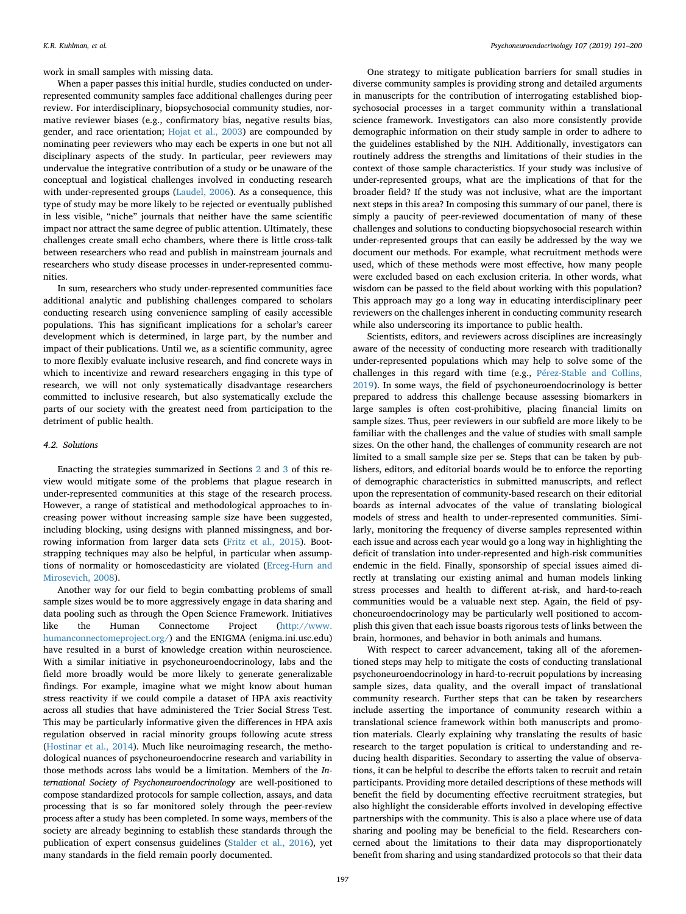work in small samples with missing data.

When a paper passes this initial hurdle, studies conducted on underrepresented community samples face additional challenges during peer review. For interdisciplinary, biopsychosocial community studies, normative reviewer biases (e.g., confirmatory bias, negative results bias, gender, and race orientation; [Hojat et al., 2003\)](#page-8-20) are compounded by nominating peer reviewers who may each be experts in one but not all disciplinary aspects of the study. In particular, peer reviewers may undervalue the integrative contribution of a study or be unaware of the conceptual and logistical challenges involved in conducting research with under-represented groups [\(Laudel, 2006\)](#page-9-36). As a consequence, this type of study may be more likely to be rejected or eventually published in less visible, "niche" journals that neither have the same scientific impact nor attract the same degree of public attention. Ultimately, these challenges create small echo chambers, where there is little cross-talk between researchers who read and publish in mainstream journals and researchers who study disease processes in under-represented communities.

In sum, researchers who study under-represented communities face additional analytic and publishing challenges compared to scholars conducting research using convenience sampling of easily accessible populations. This has significant implications for a scholar's career development which is determined, in large part, by the number and impact of their publications. Until we, as a scientific community, agree to more flexibly evaluate inclusive research, and find concrete ways in which to incentivize and reward researchers engaging in this type of research, we will not only systematically disadvantage researchers committed to inclusive research, but also systematically exclude the parts of our society with the greatest need from participation to the detriment of public health.

## *4.2. Solutions*

Enacting the strategies summarized in Sections [2](#page-2-1) and [3](#page-4-1) of this review would mitigate some of the problems that plague research in under-represented communities at this stage of the research process. However, a range of statistical and methodological approaches to increasing power without increasing sample size have been suggested, including blocking, using designs with planned missingness, and borrowing information from larger data sets [\(Fritz et al., 2015\)](#page-8-21). Bootstrapping techniques may also be helpful, in particular when assumptions of normality or homoscedasticity are violated ([Erceg-Hurn and](#page-8-22) [Mirosevich, 2008](#page-8-22)).

Another way for our field to begin combatting problems of small sample sizes would be to more aggressively engage in data sharing and data pooling such as through the Open Science Framework. Initiatives like the Human Connectome Project [\(http://www.](http://www.humanconnectomeproject.org/) [humanconnectomeproject.org/\)](http://www.humanconnectomeproject.org/) and the ENIGMA (enigma.ini.usc.edu) have resulted in a burst of knowledge creation within neuroscience. With a similar initiative in psychoneuroendocrinology, labs and the field more broadly would be more likely to generate generalizable findings. For example, imagine what we might know about human stress reactivity if we could compile a dataset of HPA axis reactivity across all studies that have administered the Trier Social Stress Test. This may be particularly informative given the differences in HPA axis regulation observed in racial minority groups following acute stress ([Hostinar et al., 2014](#page-8-23)). Much like neuroimaging research, the methodological nuances of psychoneuroendocrine research and variability in those methods across labs would be a limitation. Members of the *International Society of Psychoneuroendocrinology* are well-positioned to compose standardized protocols for sample collection, assays, and data processing that is so far monitored solely through the peer-review process after a study has been completed. In some ways, members of the society are already beginning to establish these standards through the publication of expert consensus guidelines [\(Stalder et al., 2016](#page-9-26)), yet many standards in the field remain poorly documented.

One strategy to mitigate publication barriers for small studies in diverse community samples is providing strong and detailed arguments in manuscripts for the contribution of interrogating established biopsychosocial processes in a target community within a translational science framework. Investigators can also more consistently provide demographic information on their study sample in order to adhere to the guidelines established by the NIH. Additionally, investigators can routinely address the strengths and limitations of their studies in the context of those sample characteristics. If your study was inclusive of under-represented groups, what are the implications of that for the broader field? If the study was not inclusive, what are the important next steps in this area? In composing this summary of our panel, there is simply a paucity of peer-reviewed documentation of many of these challenges and solutions to conducting biopsychosocial research within under-represented groups that can easily be addressed by the way we document our methods. For example, what recruitment methods were used, which of these methods were most effective, how many people were excluded based on each exclusion criteria. In other words, what wisdom can be passed to the field about working with this population? This approach may go a long way in educating interdisciplinary peer reviewers on the challenges inherent in conducting community research while also underscoring its importance to public health.

Scientists, editors, and reviewers across disciplines are increasingly aware of the necessity of conducting more research with traditionally under-represented populations which may help to solve some of the challenges in this regard with time (e.g., [Pérez-Stable and Collins,](#page-9-7) [2019\)](#page-9-7). In some ways, the field of psychoneuroendocrinology is better prepared to address this challenge because assessing biomarkers in large samples is often cost-prohibitive, placing financial limits on sample sizes. Thus, peer reviewers in our subfield are more likely to be familiar with the challenges and the value of studies with small sample sizes. On the other hand, the challenges of community research are not limited to a small sample size per se. Steps that can be taken by publishers, editors, and editorial boards would be to enforce the reporting of demographic characteristics in submitted manuscripts, and reflect upon the representation of community-based research on their editorial boards as internal advocates of the value of translating biological models of stress and health to under-represented communities. Similarly, monitoring the frequency of diverse samples represented within each issue and across each year would go a long way in highlighting the deficit of translation into under-represented and high-risk communities endemic in the field. Finally, sponsorship of special issues aimed directly at translating our existing animal and human models linking stress processes and health to different at-risk, and hard-to-reach communities would be a valuable next step. Again, the field of psychoneuroendocrinology may be particularly well positioned to accomplish this given that each issue boasts rigorous tests of links between the brain, hormones, and behavior in both animals and humans.

With respect to career advancement, taking all of the aforementioned steps may help to mitigate the costs of conducting translational psychoneuroendocrinology in hard-to-recruit populations by increasing sample sizes, data quality, and the overall impact of translational community research. Further steps that can be taken by researchers include asserting the importance of community research within a translational science framework within both manuscripts and promotion materials. Clearly explaining why translating the results of basic research to the target population is critical to understanding and reducing health disparities. Secondary to asserting the value of observations, it can be helpful to describe the efforts taken to recruit and retain participants. Providing more detailed descriptions of these methods will benefit the field by documenting effective recruitment strategies, but also highlight the considerable efforts involved in developing effective partnerships with the community. This is also a place where use of data sharing and pooling may be beneficial to the field. Researchers concerned about the limitations to their data may disproportionately benefit from sharing and using standardized protocols so that their data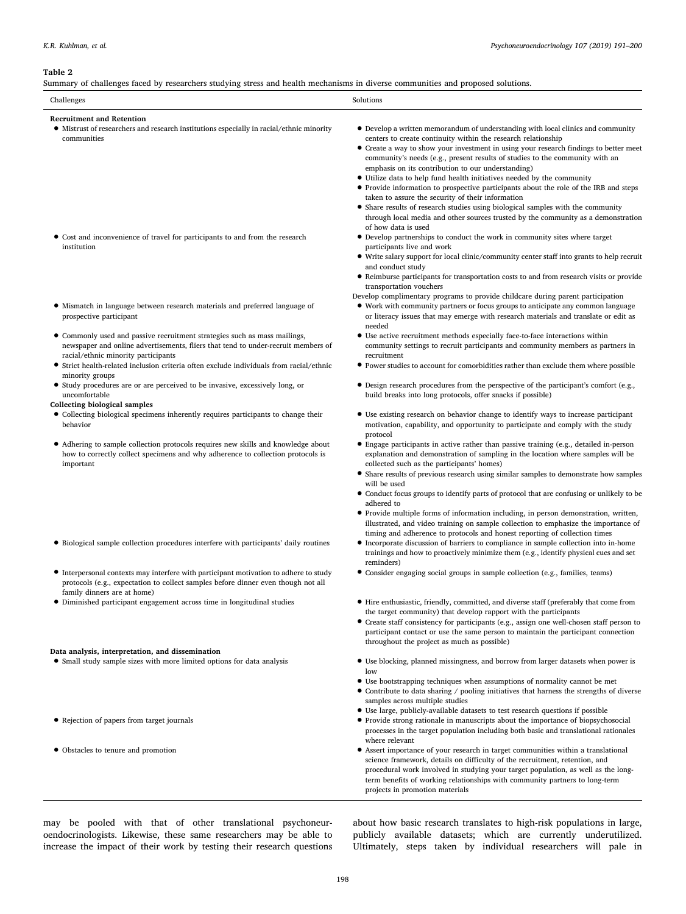## <span id="page-7-0"></span>**Table 2**

Summary of challenges faced by researchers studying stress and health mechanisms in diverse communities and proposed solutions.

| Challenges                                                                                                                                                                                            | Solutions                                                                                                                                                                                                                                                                                                                                                               |
|-------------------------------------------------------------------------------------------------------------------------------------------------------------------------------------------------------|-------------------------------------------------------------------------------------------------------------------------------------------------------------------------------------------------------------------------------------------------------------------------------------------------------------------------------------------------------------------------|
| <b>Recruitment and Retention</b>                                                                                                                                                                      |                                                                                                                                                                                                                                                                                                                                                                         |
| • Mistrust of researchers and research institutions especially in racial/ethnic minority<br>communities                                                                                               | • Develop a written memorandum of understanding with local clinics and community<br>centers to create continuity within the research relationship                                                                                                                                                                                                                       |
|                                                                                                                                                                                                       | • Create a way to show your investment in using your research findings to better meet<br>community's needs (e.g., present results of studies to the community with an                                                                                                                                                                                                   |
|                                                                                                                                                                                                       | emphasis on its contribution to our understanding)<br>• Utilize data to help fund health initiatives needed by the community<br>• Provide information to prospective participants about the role of the IRB and steps                                                                                                                                                   |
|                                                                                                                                                                                                       | taken to assure the security of their information<br>• Share results of research studies using biological samples with the community                                                                                                                                                                                                                                    |
|                                                                                                                                                                                                       | through local media and other sources trusted by the community as a demonstration<br>of how data is used                                                                                                                                                                                                                                                                |
| • Cost and inconvenience of travel for participants to and from the research<br>institution                                                                                                           | • Develop partnerships to conduct the work in community sites where target<br>participants live and work                                                                                                                                                                                                                                                                |
|                                                                                                                                                                                                       | • Write salary support for local clinic/community center staff into grants to help recruit<br>and conduct study<br>• Reimburse participants for transportation costs to and from research visits or provide                                                                                                                                                             |
|                                                                                                                                                                                                       | transportation vouchers                                                                                                                                                                                                                                                                                                                                                 |
| • Mismatch in language between research materials and preferred language of                                                                                                                           | Develop complimentary programs to provide childcare during parent participation<br>• Work with community partners or focus groups to anticipate any common language                                                                                                                                                                                                     |
| prospective participant                                                                                                                                                                               | or literacy issues that may emerge with research materials and translate or edit as<br>needed                                                                                                                                                                                                                                                                           |
| • Commonly used and passive recruitment strategies such as mass mailings,<br>newspaper and online advertisements, fliers that tend to under-recruit members of<br>racial/ethnic minority participants | • Use active recruitment methods especially face-to-face interactions within<br>community settings to recruit participants and community members as partners in<br>recruitment                                                                                                                                                                                          |
| • Strict health-related inclusion criteria often exclude individuals from racial/ethnic<br>minority groups                                                                                            | • Power studies to account for comorbidities rather than exclude them where possible                                                                                                                                                                                                                                                                                    |
| • Study procedures are or are perceived to be invasive, excessively long, or<br>uncomfortable                                                                                                         | • Design research procedures from the perspective of the participant's comfort (e.g.,<br>build breaks into long protocols, offer snacks if possible)                                                                                                                                                                                                                    |
| Collecting biological samples<br>• Collecting biological specimens inherently requires participants to change their                                                                                   | • Use existing research on behavior change to identify ways to increase participant                                                                                                                                                                                                                                                                                     |
| behavior                                                                                                                                                                                              | motivation, capability, and opportunity to participate and comply with the study<br>protocol                                                                                                                                                                                                                                                                            |
| • Adhering to sample collection protocols requires new skills and knowledge about<br>how to correctly collect specimens and why adherence to collection protocols is<br>important                     | • Engage participants in active rather than passive training (e.g., detailed in-person<br>explanation and demonstration of sampling in the location where samples will be<br>collected such as the participants' homes)                                                                                                                                                 |
|                                                                                                                                                                                                       | • Share results of previous research using similar samples to demonstrate how samples<br>will be used<br>• Conduct focus groups to identify parts of protocol that are confusing or unlikely to be                                                                                                                                                                      |
|                                                                                                                                                                                                       | adhered to<br>• Provide multiple forms of information including, in person demonstration, written,                                                                                                                                                                                                                                                                      |
|                                                                                                                                                                                                       | illustrated, and video training on sample collection to emphasize the importance of<br>timing and adherence to protocols and honest reporting of collection times                                                                                                                                                                                                       |
| • Biological sample collection procedures interfere with participants' daily routines                                                                                                                 | • Incorporate discussion of barriers to compliance in sample collection into in-home<br>trainings and how to proactively minimize them (e.g., identify physical cues and set<br>reminders)                                                                                                                                                                              |
| • Interpersonal contexts may interfere with participant motivation to adhere to study<br>protocols (e.g., expectation to collect samples before dinner even though not all                            | • Consider engaging social groups in sample collection (e.g., families, teams)                                                                                                                                                                                                                                                                                          |
| family dinners are at home)<br>• Diminished participant engagement across time in longitudinal studies                                                                                                | • Hire enthusiastic, friendly, committed, and diverse staff (preferably that come from                                                                                                                                                                                                                                                                                  |
|                                                                                                                                                                                                       | the target community) that develop rapport with the participants<br>• Create staff consistency for participants (e.g., assign one well-chosen staff person to<br>participant contact or use the same person to maintain the participant connection<br>throughout the project as much as possible)                                                                       |
| Data analysis, interpretation, and dissemination                                                                                                                                                      |                                                                                                                                                                                                                                                                                                                                                                         |
| • Small study sample sizes with more limited options for data analysis                                                                                                                                | • Use blocking, planned missingness, and borrow from larger datasets when power is<br>low                                                                                                                                                                                                                                                                               |
|                                                                                                                                                                                                       | • Use bootstrapping techniques when assumptions of normality cannot be met<br>• Contribute to data sharing / pooling initiatives that harness the strengths of diverse<br>samples across multiple studies                                                                                                                                                               |
|                                                                                                                                                                                                       | • Use large, publicly-available datasets to test research questions if possible                                                                                                                                                                                                                                                                                         |
| • Rejection of papers from target journals                                                                                                                                                            | • Provide strong rationale in manuscripts about the importance of biopsychosocial<br>processes in the target population including both basic and translational rationales<br>where relevant                                                                                                                                                                             |
| • Obstacles to tenure and promotion                                                                                                                                                                   | • Assert importance of your research in target communities within a translational<br>science framework, details on difficulty of the recruitment, retention, and<br>procedural work involved in studying your target population, as well as the long-<br>term benefits of working relationships with community partners to long-term<br>projects in promotion materials |

may be pooled with that of other translational psychoneuroendocrinologists. Likewise, these same researchers may be able to increase the impact of their work by testing their research questions

about how basic research translates to high-risk populations in large, publicly available datasets; which are currently underutilized. Ultimately, steps taken by individual researchers will pale in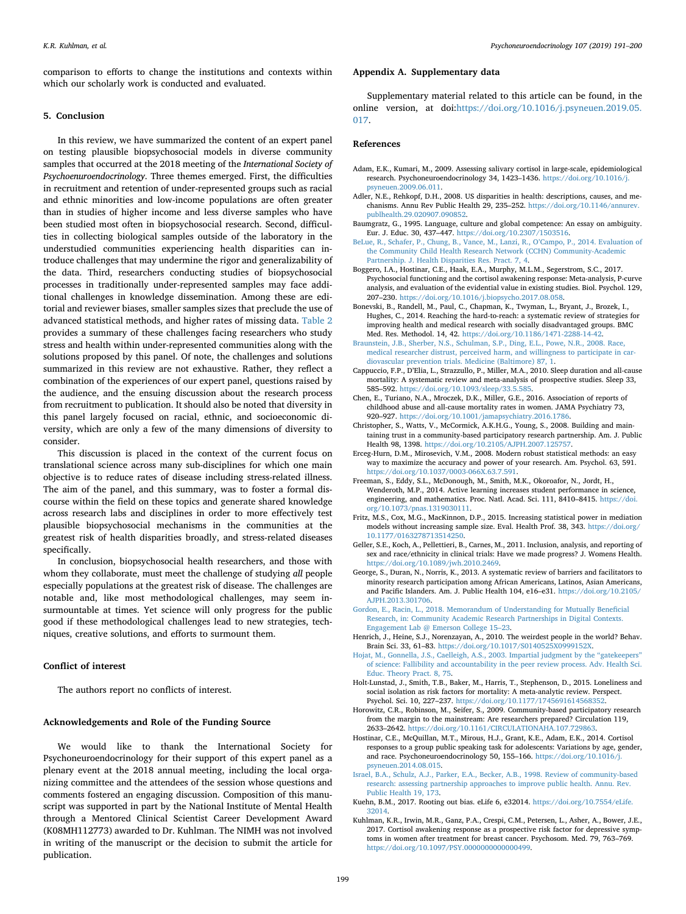comparison to efforts to change the institutions and contexts within which our scholarly work is conducted and evaluated.

#### **5. Conclusion**

In this review, we have summarized the content of an expert panel on testing plausible biopsychosocial models in diverse community samples that occurred at the 2018 meeting of the *International Society of Psychoenuroendocrinology*. Three themes emerged. First, the difficulties in recruitment and retention of under-represented groups such as racial and ethnic minorities and low-income populations are often greater than in studies of higher income and less diverse samples who have been studied most often in biopsychosocial research. Second, difficulties in collecting biological samples outside of the laboratory in the understudied communities experiencing health disparities can introduce challenges that may undermine the rigor and generalizability of the data. Third, researchers conducting studies of biopsychosocial processes in traditionally under-represented samples may face additional challenges in knowledge dissemination. Among these are editorial and reviewer biases, smaller samples sizes that preclude the use of advanced statistical methods, and higher rates of missing data. [Table 2](#page-7-0) provides a summary of these challenges facing researchers who study stress and health within under-represented communities along with the solutions proposed by this panel. Of note, the challenges and solutions summarized in this review are not exhaustive. Rather, they reflect a combination of the experiences of our expert panel, questions raised by the audience, and the ensuing discussion about the research process from recruitment to publication. It should also be noted that diversity in this panel largely focused on racial, ethnic, and socioeconomic diversity, which are only a few of the many dimensions of diversity to consider.

This discussion is placed in the context of the current focus on translational science across many sub-disciplines for which one main objective is to reduce rates of disease including stress-related illness. The aim of the panel, and this summary, was to foster a formal discourse within the field on these topics and generate shared knowledge across research labs and disciplines in order to more effectively test plausible biopsychosocial mechanisms in the communities at the greatest risk of health disparities broadly, and stress-related diseases specifically.

In conclusion, biopsychosocial health researchers, and those with whom they collaborate, must meet the challenge of studying *all* people especially populations at the greatest risk of disease. The challenges are notable and, like most methodological challenges, may seem insurmountable at times. Yet science will only progress for the public good if these methodological challenges lead to new strategies, techniques, creative solutions, and efforts to surmount them.

## **Conflict of interest**

The authors report no conflicts of interest.

## **Acknowledgements and Role of the Funding Source**

We would like to thank the International Society for Psychoneuroendocrinology for their support of this expert panel as a plenary event at the 2018 annual meeting, including the local organizing committee and the attendees of the session whose questions and comments fostered an engaging discussion. Composition of this manuscript was supported in part by the National Institute of Mental Health through a Mentored Clinical Scientist Career Development Award (K08MH112773) awarded to Dr. Kuhlman. The NIMH was not involved in writing of the manuscript or the decision to submit the article for publication.

#### **Appendix A. Supplementary data**

Supplementary material related to this article can be found, in the online version, at doi:[https://doi.org/10.1016/j.psyneuen.2019.05.](https://doi.org/10.1016/j.psyneuen.2019.05.017) [017](https://doi.org/10.1016/j.psyneuen.2019.05.017).

#### **References**

- <span id="page-8-15"></span>Adam, E.K., Kumari, M., 2009. Assessing salivary cortisol in large-scale, epidemiological research. Psychoneuroendocrinology 34, 1423–1436. [https://doi.org/10.1016/j.](https://doi.org/10.1016/j.psyneuen.2009.06.011) [psyneuen.2009.06.011.](https://doi.org/10.1016/j.psyneuen.2009.06.011)
- <span id="page-8-6"></span>Adler, N.E., Rehkopf, D.H., 2008. US disparities in health: descriptions, causes, and mechanisms. Annu Rev Public Health 29, 235–252. [https://doi.org/10.1146/annurev.](https://doi.org/10.1146/annurev.publhealth.29.020907.090852) [publhealth.29.020907.090852.](https://doi.org/10.1146/annurev.publhealth.29.020907.090852)
- <span id="page-8-5"></span>Baumgratz, G., 1995. Language, culture and global competence: An essay on ambiguity. Eur. J. Educ. 30, 437–447. [https://doi.org/10.2307/1503516.](https://doi.org/10.2307/1503516)
- <span id="page-8-11"></span>[BeLue, R., Schafer, P., Chung, B., Vance, M., Lanzi, R., O'Campo, P., 2014. Evaluation of](http://refhub.elsevier.com/S0306-4530(19)30117-9/sbref0020) [the Community Child Health Research Network \(CCHN\) Community-Academic](http://refhub.elsevier.com/S0306-4530(19)30117-9/sbref0020) [Partnership. J. Health Disparities Res. Pract. 7, 4](http://refhub.elsevier.com/S0306-4530(19)30117-9/sbref0020).
- <span id="page-8-18"></span>Boggero, I.A., Hostinar, C.E., Haak, E.A., Murphy, M.L.M., Segerstrom, S.C., 2017. Psychosocial functioning and the cortisol awakening response: Meta-analysis, P-curve analysis, and evaluation of the evidential value in existing studies. Biol. Psychol. 129, 207–230. [https://doi.org/10.1016/j.biopsycho.2017.08.058.](https://doi.org/10.1016/j.biopsycho.2017.08.058)
- <span id="page-8-9"></span>Bonevski, B., Randell, M., Paul, C., Chapman, K., Twyman, L., Bryant, J., Brozek, I., Hughes, C., 2014. Reaching the hard-to-reach: a systematic review of strategies for improving health and medical research with socially disadvantaged groups. BMC Med. Res. Methodol. 14, 42. [https://doi.org/10.1186/1471-2288-14-42.](https://doi.org/10.1186/1471-2288-14-42)
- <span id="page-8-8"></span>[Braunstein, J.B., Sherber, N.S., Schulman, S.P., Ding, E.L., Powe, N.R., 2008. Race,](http://refhub.elsevier.com/S0306-4530(19)30117-9/sbref0035) [medical researcher distrust, perceived harm, and willingness to participate in car](http://refhub.elsevier.com/S0306-4530(19)30117-9/sbref0035)[diovascular prevention trials. Medicine \(Baltimore\) 87, 1](http://refhub.elsevier.com/S0306-4530(19)30117-9/sbref0035).
- <span id="page-8-0"></span>Cappuccio, F.P., D'Elia, L., Strazzullo, P., Miller, M.A., 2010. Sleep duration and all-cause mortality: A systematic review and meta-analysis of prospective studies. Sleep 33, 585–592. <https://doi.org/10.1093/sleep/33.5.585>.
- <span id="page-8-1"></span>Chen, E., Turiano, N.A., Mroczek, D.K., Miller, G.E., 2016. Association of reports of childhood abuse and all-cause mortality rates in women. JAMA Psychiatry 73, 920–927. <https://doi.org/10.1001/jamapsychiatry.2016.1786>.
- <span id="page-8-12"></span>Christopher, S., Watts, V., McCormick, A.K.H.G., Young, S., 2008. Building and maintaining trust in a community-based participatory research partnership. Am. J. Public Health 98, 1398. [https://doi.org/10.2105/AJPH.2007.125757.](https://doi.org/10.2105/AJPH.2007.125757)
- <span id="page-8-22"></span>Erceg-Hurn, D.M., Mirosevich, V.M., 2008. Modern robust statistical methods: an easy way to maximize the accuracy and power of your research. Am. Psychol. 63, 591. <https://doi.org/10.1037/0003-066X.63.7.591>.
- <span id="page-8-16"></span>Freeman, S., Eddy, S.L., McDonough, M., Smith, M.K., Okoroafor, N., Jordt, H., Wenderoth, M.P., 2014. Active learning increases student performance in science, engineering, and mathematics. Proc. Natl. Acad. Sci. 111, 8410–8415. [https://doi.](https://doi.org/10.1073/pnas.1319030111) [org/10.1073/pnas.1319030111](https://doi.org/10.1073/pnas.1319030111).
- <span id="page-8-21"></span>Fritz, M.S., Cox, M.G., MacKinnon, D.P., 2015. Increasing statistical power in mediation models without increasing sample size. Eval. Health Prof. 38, 343. [https://doi.org/](https://doi.org/10.1177/0163278713514250) [10.1177/0163278713514250](https://doi.org/10.1177/0163278713514250).
- <span id="page-8-7"></span>Geller, S.E., Koch, A., Pellettieri, B., Carnes, M., 2011. Inclusion, analysis, and reporting of sex and race/ethnicity in clinical trials: Have we made progress? J. Womens Health. <https://doi.org/10.1089/jwh.2010.2469>.
- <span id="page-8-3"></span>George, S., Duran, N., Norris, K., 2013. A systematic review of barriers and facilitators to minority research participation among African Americans, Latinos, Asian Americans, and Pacific Islanders. Am. J. Public Health 104, e16–e31. [https://doi.org/10.2105/](https://doi.org/10.2105/AJPH.2013.301706) [AJPH.2013.301706.](https://doi.org/10.2105/AJPH.2013.301706)
- <span id="page-8-14"></span>[Gordon, E., Racin, L., 2018. Memorandum of Understanding for Mutually Beneficial](http://refhub.elsevier.com/S0306-4530(19)30117-9/sbref0080) [Research, in: Community Academic Research Partnerships in Digital Contexts.](http://refhub.elsevier.com/S0306-4530(19)30117-9/sbref0080) [Engagement Lab @ Emerson College 15–23.](http://refhub.elsevier.com/S0306-4530(19)30117-9/sbref0080)
- <span id="page-8-4"></span>Henrich, J., Heine, S.J., Norenzayan, A., 2010. The weirdest people in the world? Behav. Brain Sci. 33, 61–83. [https://doi.org/10.1017/S0140525X0999152X.](https://doi.org/10.1017/S0140525X0999152X)
- <span id="page-8-20"></span>[Hojat, M., Gonnella, J.S., Caelleigh, A.S., 2003. Impartial judgment by the "gatekeepers"](http://refhub.elsevier.com/S0306-4530(19)30117-9/sbref0090) [of science: Fallibility and accountability in the peer review process. Adv. Health Sci.](http://refhub.elsevier.com/S0306-4530(19)30117-9/sbref0090) [Educ. Theory Pract. 8, 75.](http://refhub.elsevier.com/S0306-4530(19)30117-9/sbref0090)
- <span id="page-8-2"></span>Holt-Lunstad, J., Smith, T.B., Baker, M., Harris, T., Stephenson, D., 2015. Loneliness and social isolation as risk factors for mortality: A meta-analytic review. Perspect. Psychol. Sci. 10, 227–237. <https://doi.org/10.1177/1745691614568352>.
- <span id="page-8-10"></span>Horowitz, C.R., Robinson, M., Seifer, S., 2009. Community-based participatory research from the margin to the mainstream: Are researchers prepared? Circulation 119, 2633–2642. <https://doi.org/10.1161/CIRCULATIONAHA.107.729863>.
- <span id="page-8-23"></span>Hostinar, C.E., McQuillan, M.T., Mirous, H.J., Grant, K.E., Adam, E.K., 2014. Cortisol responses to a group public speaking task for adolescents: Variations by age, gender, and race. Psychoneuroendocrinology 50, 155–166. [https://doi.org/10.1016/j.](https://doi.org/10.1016/j.psyneuen.2014.08.015) [psyneuen.2014.08.015.](https://doi.org/10.1016/j.psyneuen.2014.08.015)
- <span id="page-8-13"></span>[Israel, B.A., Schulz, A.J., Parker, E.A., Becker, A.B., 1998. Review of community-based](http://refhub.elsevier.com/S0306-4530(19)30117-9/sbref0110) [research: assessing partnership approaches to improve public health. Annu. Rev.](http://refhub.elsevier.com/S0306-4530(19)30117-9/sbref0110) [Public Health 19, 173](http://refhub.elsevier.com/S0306-4530(19)30117-9/sbref0110).
- <span id="page-8-19"></span>Kuehn, B.M., 2017. Rooting out bias. eLife 6, e32014. [https://doi.org/10.7554/eLife.](https://doi.org/10.7554/eLife.32014) [32014.](https://doi.org/10.7554/eLife.32014)
- <span id="page-8-17"></span>Kuhlman, K.R., Irwin, M.R., Ganz, P.A., Crespi, C.M., Petersen, L., Asher, A., Bower, J.E., 2017. Cortisol awakening response as a prospective risk factor for depressive symptoms in women after treatment for breast cancer. Psychosom. Med. 79, 763–769. [https://doi.org/10.1097/PSY.0000000000000499.](https://doi.org/10.1097/PSY.0000000000000499)